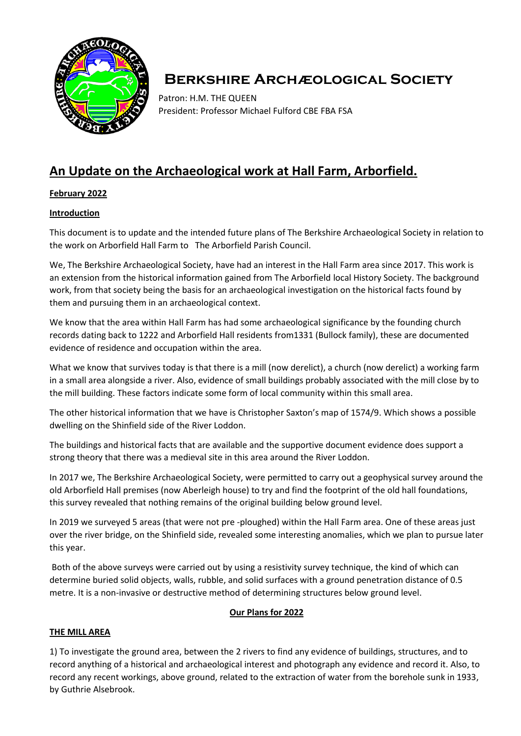

# **Berkshire Archæological Society**

Patron: H.M. THE QUEEN President: Professor Michael Fulford CBE FBA FSA

# **An Update on the Archaeological work at Hall Farm, Arborfield.**

### **February 2022**

#### **Introduction**

This document is to update and the intended future plans of The Berkshire Archaeological Society in relation to the work on Arborfield Hall Farm to The Arborfield Parish Council.

We, The Berkshire Archaeological Society, have had an interest in the Hall Farm area since 2017. This work is an extension from the historical information gained from The Arborfield local History Society. The background work, from that society being the basis for an archaeological investigation on the historical facts found by them and pursuing them in an archaeological context.

We know that the area within Hall Farm has had some archaeological significance by the founding church records dating back to 1222 and Arborfield Hall residents from1331 (Bullock family), these are documented evidence of residence and occupation within the area.

What we know that survives today is that there is a mill (now derelict), a church (now derelict) a working farm in a small area alongside a river. Also, evidence of small buildings probably associated with the mill close by to the mill building. These factors indicate some form of local community within this small area.

The other historical information that we have is Christopher Saxton's map of 1574/9. Which shows a possible dwelling on the Shinfield side of the River Loddon.

The buildings and historical facts that are available and the supportive document evidence does support a strong theory that there was a medieval site in this area around the River Loddon.

In 2017 we, The Berkshire Archaeological Society, were permitted to carry out a geophysical survey around the old Arborfield Hall premises (now Aberleigh house) to try and find the footprint of the old hall foundations, this survey revealed that nothing remains of the original building below ground level.

In 2019 we surveyed 5 areas (that were not pre -ploughed) within the Hall Farm area. One of these areas just over the river bridge, on the Shinfield side, revealed some interesting anomalies, which we plan to pursue later this year.

Both of the above surveys were carried out by using a resistivity survey technique, the kind of which can determine buried solid objects, walls, rubble, and solid surfaces with a ground penetration distance of 0.5 metre. It is a non-invasive or destructive method of determining structures below ground level.

#### **Our Plans for 2022**

### **THE MILL AREA**

1) To investigate the ground area, between the 2 rivers to find any evidence of buildings, structures, and to record anything of a historical and archaeological interest and photograph any evidence and record it. Also, to record any recent workings, above ground, related to the extraction of water from the borehole sunk in 1933, by Guthrie Alsebrook.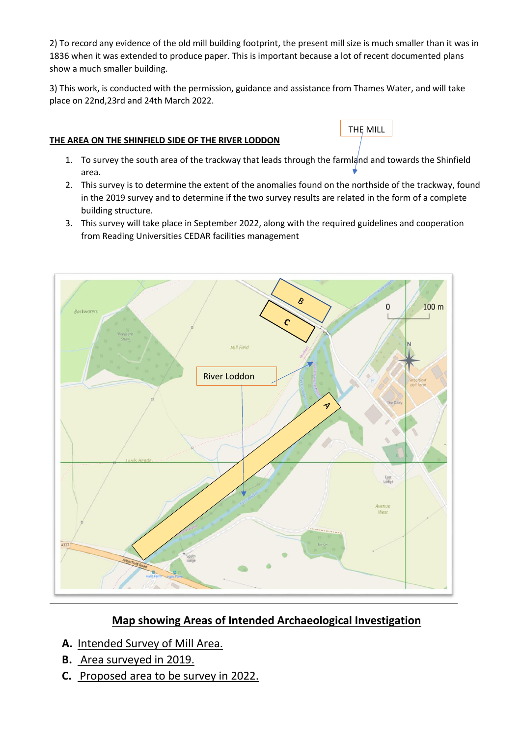2) To record any evidence of the old mill building footprint, the present mill size is much smaller than it was in 1836 when it was extended to produce paper. This is important because a lot of recent documented plans show a much smaller building.

3) This work, is conducted with the permission, guidance and assistance from Thames Water, and will take place on 22nd,23rd and 24th March 2022.

## **THE AREA ON THE SHINFIELD SIDE OF THE RIVER LODDON**

1. To survey the south area of the trackway that leads through the farmland and towards the Shinfield area.

THE MILL

- 2. This survey is to determine the extent of the anomalies found on the northside of the trackway, found in the 2019 survey and to determine if the two survey results are related in the form of a complete building structure.
- 3. This survey will take place in September 2022, along with the required guidelines and cooperation from Reading Universities CEDAR facilities management



# **Map showing Areas of Intended Archaeological Investigation**

- **A.** Intended Survey of Mill Area.
- **B.** Area surveyed in 2019.
- **C.** Proposed area to be survey in 2022.